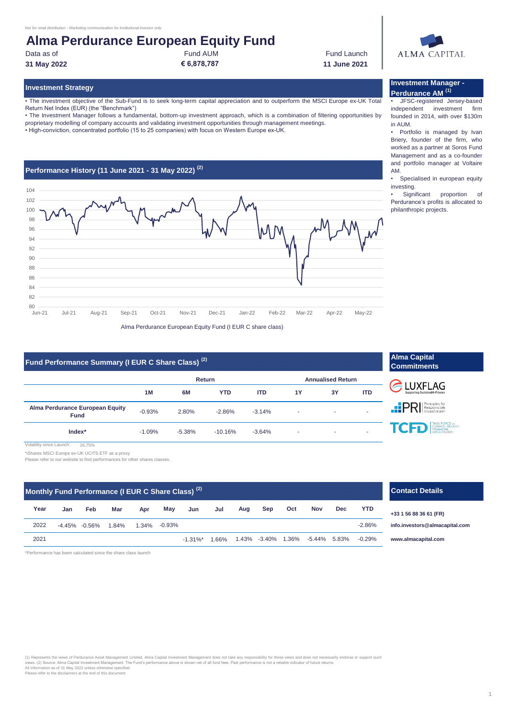# **Alma Perdurance European Equity Fund**

Data as of **Fund AUM** Fund AUM Fund AUM **Fund Launch 31 May 2022 € 6,878,787 11 June 2021**

• The investment objective of the Sub-Fund is to seek long-term capital appreciation and to outperform the MSCI Europe ex-UK Total Return Net Index (EUR) (the "Benchmark")

• The Investment Manager follows a fundamental, bottom-up investment approach, which is a combination of filtering opportunities by proprietary modelling of company accounts and validating investment opportunities through management meetings.

• High-conviction, concentrated portfolio (15 to 25 companies) with focus on Western Europe ex-UK.



# **Fund Performance Summary (I EUR C Share Class)<sup>(2)</sup> <b>Alma Capital Capital Commitment**

|                                                | Return   |          |            |            | <b>Annualised Return</b> |    |            |  |
|------------------------------------------------|----------|----------|------------|------------|--------------------------|----|------------|--|
|                                                | 1M       | 6M       | <b>YTD</b> | <b>ITD</b> | 1Y                       | 3Y | <b>ITD</b> |  |
| Alma Perdurance European Equity<br><b>Fund</b> | $-0.93%$ | 2.80%    | $-2.86%$   | $-3.14%$   | ٠                        |    |            |  |
| Index*                                         | $-1.09%$ | $-5.38%$ | $-10.16%$  | $-3.64%$   | $\overline{\phantom{a}}$ | ۰  |            |  |

16.75% v since Launch:

\*iShares MSCI Europe ex-UK UCITS ETF as a proxy

Please refer to our website to find performances for other shares classes

| Monthly Fund Performance (I EUR C Share Class) <sup>(2)</sup> |     |                   |       |          |           |             |         |     | $\mathbf{C}$ o     |     |              |            |            |           |
|---------------------------------------------------------------|-----|-------------------|-------|----------|-----------|-------------|---------|-----|--------------------|-----|--------------|------------|------------|-----------|
| Year                                                          | Jan | Feb               | Mar   | Apr      | May       | Jun         | Jul     | Aug | Sep                | Oct | <b>Nov</b>   | <b>Dec</b> | <b>YTD</b> | $+33$     |
| 2022                                                          |     | $-4.45\% -0.56\%$ | 1.84% | $1.34\%$ | $-0.93\%$ |             |         |     |                    |     |              |            | $-2.86%$   | info      |
| 2021                                                          |     |                   |       |          |           | $-1.31\%$ * | $.66\%$ |     | 1.43% -3.40% 1.36% |     | -5.44% 5.83% |            | $-0.29%$   | <b>WW</b> |

\*Performance has been calculated since the share class launch

(1) Represents the views of Perdurance Asset Management Limited. Alma Capital Investment Management does not take any responsibility for these views and does not necessarily endorse or support such<br>All information as of 31

**LUXFLAG**  $\text{IPR}$ TASK FORCE on<br>CLIMATE-RELATED<br>FINANCIAL<br>DISCLOSUPES **TCFD** 

**Commitments**

## **Contact Details**

**+33 1 56 88 36 61 (FR)**

**[info.in](mailto:info.investors@almacapital.com)vestors@almacapital.com**

**[www.](http://www.almacapital.com/)almacapital.com**



### **Investment Strategy Investment Manager - Perdurance AM (1)**

• JFSC-registered Jersey-based independent investment firm founded in 2014, with over \$130m in AUM.

• Portfolio is managed by Ivan Briery, founder of the firm, who worked as a partner at Soros Fund Management and as a co-founder and portfolio manager at Voltaire AM.

• Specialised in european equity investing.

Significant proportion of Perdurance's profits is allocated to philanthropic projects.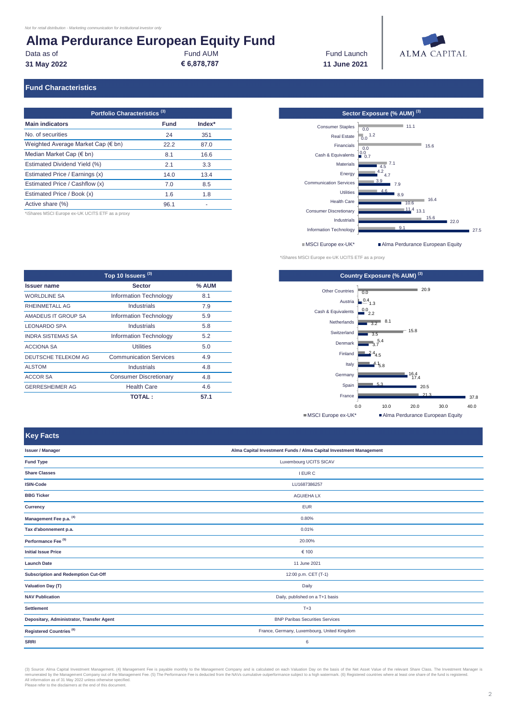# **Alma Perdurance European Equity Fund<br>Data as of<br>Fund AUM**

Data as of **Fund AUM** Fund AUM Fund AUM **Fund Launch** 

**31 May 2022 € 6,878,787 11 June 2021**



#### **Fund Characteristics**

| Portfolio Characteristics <sup>(3)</sup>    |      |        |  |  |  |
|---------------------------------------------|------|--------|--|--|--|
| <b>Main indicators</b>                      | Fund | Index* |  |  |  |
| No. of securities                           | 24   | 351    |  |  |  |
| Weighted Average Market Cap $(\epsilon$ bn) | 22.2 | 87.0   |  |  |  |
| Median Market Cap $(\epsilon$ bn)           | 8.1  | 16.6   |  |  |  |
| Estimated Dividend Yield (%)                | 2.1  | 3.3    |  |  |  |
| Estimated Price / Earnings (x)              | 14.0 | 13.4   |  |  |  |
| Estimated Price / Cashflow (x)              | 7.0  | 8.5    |  |  |  |
| Estimated Price / Book (x)                  | 1.6  | 1.8    |  |  |  |
| Active share (%)                            | 96.1 |        |  |  |  |

\*iShares MSCI Europe ex-UK UCITS ETF as a proxy

**Portfolio Characteristics (3) Sector Exposure (% AUM) (3)**  $\blacksquare$  27.5  $22.0$  $\frac{11.4}{13.1}$ 10.6 16.4 8.9 7.9  $\frac{1}{4}$ .7 4.5 7.1 0.7  $0.0$  $0.0$  1.2 0.0 11.1  $9.1$ 15.6 4.6 3.9 4.2 15.6 Information Technology Industrials Consumer Discretionary Health Care Utilities Communication Services Energy **Materials** Cash & Equivalents Financials Real Estate Consumer Staples ■MSCI Europe ex-UK\* <br>■ Alma Perdurance European Equity

| Top 10 Issuers <sup>(3)</sup> |                               |         |  |  |  |
|-------------------------------|-------------------------------|---------|--|--|--|
| <b>Issuer name</b>            | <b>Sector</b>                 | $%$ AUM |  |  |  |
| <b>WORLDLINE SA</b>           | <b>Information Technology</b> | 8.1     |  |  |  |
| RHEINMETALL AG                | Industrials                   | 7.9     |  |  |  |
| AMADEUS IT GROUP SA           | <b>Information Technology</b> | 5.9     |  |  |  |
| LEONARDO SPA                  | <b>Industrials</b>            | 5.8     |  |  |  |
| <b>INDRA SISTEMAS SA</b>      | <b>Information Technology</b> | 5.2     |  |  |  |
| <b>ACCIONA SA</b>             | <b>Utilities</b>              | 5.0     |  |  |  |
| <b>DEUTSCHE TELEKOM AG</b>    | <b>Communication Services</b> | 4.9     |  |  |  |
| ALSTOM                        | <b>Industrials</b>            | 4.8     |  |  |  |
| ACCOR SA                      | <b>Consumer Discretionary</b> | 4.8     |  |  |  |
| <b>GERRESHEIMER AG</b>        | <b>Health Care</b>            | 4.6     |  |  |  |
|                               | <b>TOTAL:</b>                 | 57.1    |  |  |  |





#### **Key Facts**

| unuk wawananinini                          |                                                                    |  |
|--------------------------------------------|--------------------------------------------------------------------|--|
| <b>Issuer / Manager</b>                    | Alma Capital Investment Funds / Alma Capital Investment Management |  |
| <b>Fund Type</b>                           | Luxembourg UCITS SICAV                                             |  |
| <b>Share Classes</b>                       | <b>I EUR C</b>                                                     |  |
| <b>ISIN-Code</b>                           | LU1687386257                                                       |  |
| <b>BBG Ticker</b>                          | <b>AGUIEHA LX</b>                                                  |  |
| Currency                                   | <b>EUR</b>                                                         |  |
| Management Fee p.a. (4)                    | 0.80%                                                              |  |
| Tax d'abonnement p.a.                      | 0.01%                                                              |  |
| Performance Fee <sup>(5)</sup>             | 20.00%                                                             |  |
| <b>Initial Issue Price</b>                 | € 100                                                              |  |
| <b>Launch Date</b>                         | 11 June 2021                                                       |  |
| <b>Subscription and Redemption Cut-Off</b> | 12:00 p.m. CET (T-1)                                               |  |
| Valuation Day (T)                          | Daily                                                              |  |
| <b>NAV Publication</b>                     | Daily, published on a T+1 basis                                    |  |
| <b>Settlement</b>                          | $T+3$                                                              |  |
| Depositary, Administrator, Transfer Agent  | <b>BNP Paribas Securities Services</b>                             |  |
| Registered Countries <sup>(6)</sup>        | France, Germany, Luxembourg, United Kingdom                        |  |
| <b>SRRI</b>                                | 6                                                                  |  |
|                                            |                                                                    |  |

(3) Source: Alma Capital Investment Management. (4) Management Fee is payable monthly to the Management Company and is calculated on each Valuation Day on the basis of the Net Asset Value of the relevant Share Class. The I